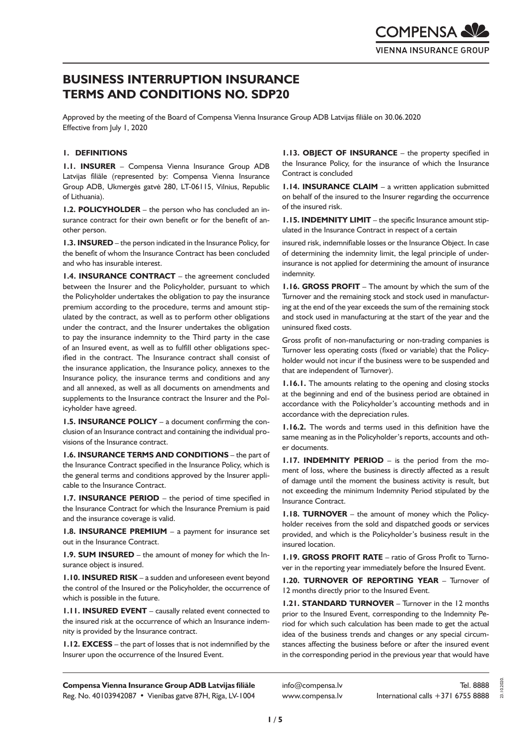# **BUSINESS INTERRUPTION INSURANCE TERMS AND CONDITIONS NO. SDP20**

Approved by the meeting of the Board of Compensa Vienna Insurance Group ADB Latvijas filiāle on 30.06.2020 Effective from July 1, 2020

# **1. DEFINITIONS**

**1.1. INSURER** – Compensa Vienna Insurance Group ADB Latvijas filiāle (represented by: Compensa Vienna Insurance Group ADB, Ukmergės gatvė 280, LT-06115, Vilnius, Republic of Lithuania).

**1.2. POLICYHOLDER** – the person who has concluded an insurance contract for their own benefit or for the benefit of another person.

**1.3. INSURED** – the person indicated in the Insurance Policy, for the benefit of whom the Insurance Contract has been concluded and who has insurable interest.

**1.4. INSURANCE CONTRACT** – the agreement concluded between the Insurer and the Policyholder, pursuant to which the Policyholder undertakes the obligation to pay the insurance premium according to the procedure, terms and amount stipulated by the contract, as well as to perform other obligations under the contract, and the Insurer undertakes the obligation to pay the insurance indemnity to the Third party in the case of an Insured event, as well as to fulfill other obligations specified in the contract. The Insurance contract shall consist of the insurance application, the Insurance policy, annexes to the Insurance policy, the insurance terms and conditions and any and all annexed, as well as all documents on amendments and supplements to the Insurance contract the Insurer and the Policyholder have agreed.

**1.5. INSURANCE POLICY** – a document confirming the conclusion of an Insurance contract and containing the individual provisions of the Insurance contract.

**1.6. INSURANCE TERMS AND CONDITIONS** – the part of the Insurance Contract specified in the Insurance Policy, which is the general terms and conditions approved by the Insurer applicable to the Insurance Contract.

**1.7. INSURANCE PERIOD** – the period of time specified in the Insurance Contract for which the Insurance Premium is paid and the insurance coverage is valid.

**1.8. INSURANCE PREMIUM** – a payment for insurance set out in the Insurance Contract.

**1.9. SUM INSURED** – the amount of money for which the Insurance object is insured.

**1.10. INSURED RISK** – a sudden and unforeseen event beyond the control of the Insured or the Policyholder, the occurrence of which is possible in the future.

**1.11. INSURED EVENT** – causally related event connected to the insured risk at the occurrence of which an Insurance indemnity is provided by the Insurance contract.

**1.12. EXCESS** – the part of losses that is not indemnified by the Insurer upon the occurrence of the Insured Event.

**1.13. OBJECT OF INSURANCE** – the property specified in the Insurance Policy, for the insurance of which the Insurance Contract is concluded

**1.14. INSURANCE CLAIM** – a written application submitted on behalf of the insured to the Insurer regarding the occurrence of the insured risk.

**1.15. INDEMNITY LIMIT** – the specific Insurance amount stipulated in the Insurance Contract in respect of a certain

insured risk, indemnifiable losses or the Insurance Object. In case of determining the indemnity limit, the legal principle of underinsurance is not applied for determining the amount of insurance indemnity.

**1.16. GROSS PROFIT** – The amount by which the sum of the Turnover and the remaining stock and stock used in manufacturing at the end of the year exceeds the sum of the remaining stock and stock used in manufacturing at the start of the year and the uninsured fixed costs.

Gross profit of non-manufacturing or non-trading companies is Turnover less operating costs (fixed or variable) that the Policyholder would not incur if the business were to be suspended and that are independent of Turnover).

**1.16.1.** The amounts relating to the opening and closing stocks at the beginning and end of the business period are obtained in accordance with the Policyholder's accounting methods and in accordance with the depreciation rules.

**1.16.2.** The words and terms used in this definition have the same meaning as in the Policyholder's reports, accounts and other documents.

**1.17. INDEMNITY PERIOD** – is the period from the moment of loss, where the business is directly affected as a result of damage until the moment the business activity is result, but not exceeding the minimum Indemnity Period stipulated by the Insurance Contract.

**1.18. TURNOVER** – the amount of money which the Policyholder receives from the sold and dispatched goods or services provided, and which is the Policyholder's business result in the insured location.

**1.19. GROSS PROFIT RATE** – ratio of Gross Profit to Turnover in the reporting year immediately before the Insured Event.

**1.20. TURNOVER OF REPORTING YEAR** – Turnover of 12 months directly prior to the Insured Event.

**1.21. STANDARD TURNOVER** – Turnover in the 12 months prior to the Insured Event, corresponding to the Indemnity Period for which such calculation has been made to get the actual idea of the business trends and changes or any special circumstances affecting the business before or after the insured event in the corresponding period in the previous year that would have

**Compensa Vienna Insurance Group ADB Latvijas filiāle**  Reg. No. 40103942087 • Vienības gatve 87H, Rīga, LV-1004

info@compensa.lv www.compensa.lv 23.10.2020.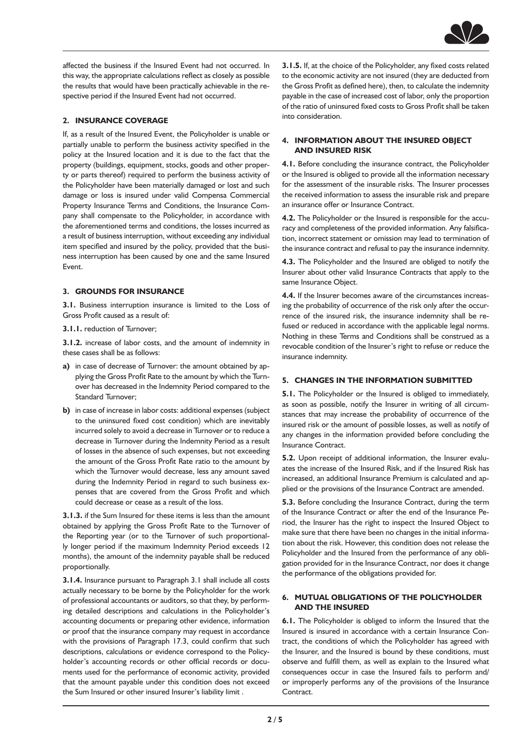

affected the business if the Insured Event had not occurred. In this way, the appropriate calculations reflect as closely as possible the results that would have been practically achievable in the respective period if the Insured Event had not occurred.

# **2. INSURANCE COVERAGE**

If, as a result of the Insured Event, the Policyholder is unable or partially unable to perform the business activity specified in the policy at the Insured location and it is due to the fact that the property (buildings, equipment, stocks, goods and other property or parts thereof) required to perform the business activity of the Policyholder have been materially damaged or lost and such damage or loss is insured under valid Compensa Commercial Property Insurance Terms and Conditions, the Insurance Company shall compensate to the Policyholder, in accordance with the aforementioned terms and conditions, the losses incurred as a result of business interruption, without exceeding any individual item specified and insured by the policy, provided that the business interruption has been caused by one and the same Insured Event.

## **3. GROUNDS FOR INSURANCE**

**3.1.** Business interruption insurance is limited to the Loss of Gross Profit caused as a result of:

**3.1.1.** reduction of Turnover;

**3.1.2.** increase of labor costs, and the amount of indemnity in these cases shall be as follows:

- **a)** in case of decrease of Turnover: the amount obtained by applying the Gross Profit Rate to the amount by which the Turnover has decreased in the Indemnity Period compared to the Standard Turnover;
- **b)** in case of increase in labor costs: additional expenses (subject to the uninsured fixed cost condition) which are inevitably incurred solely to avoid a decrease in Turnover or to reduce a decrease in Turnover during the Indemnity Period as a result of losses in the absence of such expenses, but not exceeding the amount of the Gross Profit Rate ratio to the amount by which the Turnover would decrease, less any amount saved during the Indemnity Period in regard to such business expenses that are covered from the Gross Profit and which could decrease or cease as a result of the loss.

**3.1.3.** if the Sum Insured for these items is less than the amount obtained by applying the Gross Profit Rate to the Turnover of the Reporting year (or to the Turnover of such proportionally longer period if the maximum Indemnity Period exceeds 12 months), the amount of the indemnity payable shall be reduced proportionally.

**3.1.4.** Insurance pursuant to Paragraph 3.1 shall include all costs actually necessary to be borne by the Policyholder for the work of professional accountants or auditors, so that they, by performing detailed descriptions and calculations in the Policyholder's accounting documents or preparing other evidence, information or proof that the insurance company may request in accordance with the provisions of Paragraph 17.3, could confirm that such descriptions, calculations or evidence correspond to the Policyholder's accounting records or other official records or documents used for the performance of economic activity, provided that the amount payable under this condition does not exceed the Sum Insured or other insured Insurer's liability limit .

**3.1.5.** If, at the choice of the Policyholder, any fixed costs related to the economic activity are not insured (they are deducted from the Gross Profit as defined here), then, to calculate the indemnity payable in the case of increased cost of labor, only the proportion of the ratio of uninsured fixed costs to Gross Profit shall be taken into consideration.

## **4. INFORMATION ABOUT THE INSURED OBJECT AND INSURED RISK**

**4.1.** Before concluding the insurance contract, the Policyholder or the Insured is obliged to provide all the information necessary for the assessment of the insurable risks. The Insurer processes the received information to assess the insurable risk and prepare an insurance offer or Insurance Contract.

**4.2.** The Policyholder or the Insured is responsible for the accuracy and completeness of the provided information. Any falsification, incorrect statement or omission may lead to termination of the insurance contract and refusal to pay the insurance indemnity.

**4.3.** The Policyholder and the Insured are obliged to notify the Insurer about other valid Insurance Contracts that apply to the same Insurance Object.

**4.4.** If the Insurer becomes aware of the circumstances increasing the probability of occurrence of the risk only after the occurrence of the insured risk, the insurance indemnity shall be refused or reduced in accordance with the applicable legal norms. Nothing in these Terms and Conditions shall be construed as a revocable condition of the Insurer's right to refuse or reduce the insurance indemnity.

#### **5. CHANGES IN THE INFORMATION SUBMITTED**

**5.1.** The Policyholder or the Insured is obliged to immediately, as soon as possible, notify the Insurer in writing of all circumstances that may increase the probability of occurrence of the insured risk or the amount of possible losses, as well as notify of any changes in the information provided before concluding the Insurance Contract.

**5.2.** Upon receipt of additional information, the Insurer evaluates the increase of the Insured Risk, and if the Insured Risk has increased, an additional Insurance Premium is calculated and applied or the provisions of the Insurance Contract are amended.

**5.3.** Before concluding the Insurance Contract, during the term of the Insurance Contract or after the end of the Insurance Period, the Insurer has the right to inspect the Insured Object to make sure that there have been no changes in the initial information about the risk. However, this condition does not release the Policyholder and the Insured from the performance of any obligation provided for in the Insurance Contract, nor does it change the performance of the obligations provided for.

# **6. MUTUAL OBLIGATIONS OF THE POLICYHOLDER AND THE INSURED**

**6.1.** The Policyholder is obliged to inform the Insured that the Insured is insured in accordance with a certain Insurance Contract, the conditions of which the Policyholder has agreed with the Insurer, and the Insured is bound by these conditions, must observe and fulfill them, as well as explain to the Insured what consequences occur in case the Insured fails to perform and/ or improperly performs any of the provisions of the Insurance Contract.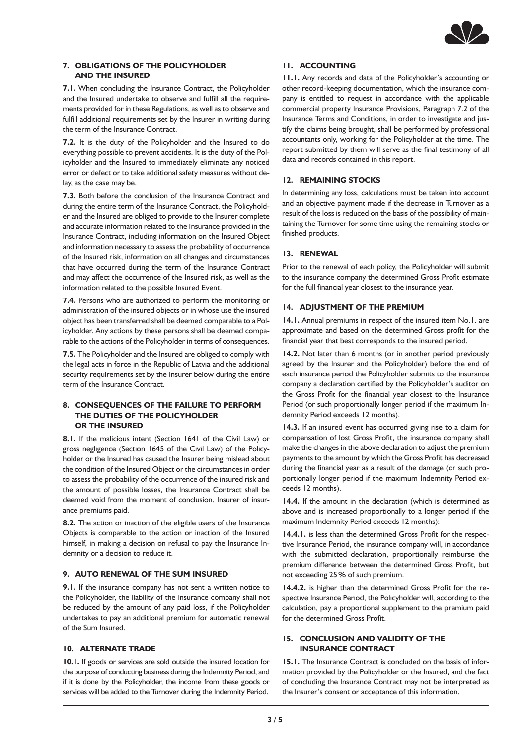

# **7. OBLIGATIONS OF THE POLICYHOLDER AND THE INSURED**

**7.1.** When concluding the Insurance Contract, the Policyholder and the Insured undertake to observe and fulfill all the requirements provided for in these Regulations, as well as to observe and fulfill additional requirements set by the Insurer in writing during the term of the Insurance Contract.

**7.2.** It is the duty of the Policyholder and the Insured to do everything possible to prevent accidents. It is the duty of the Policyholder and the Insured to immediately eliminate any noticed error or defect or to take additional safety measures without delay, as the case may be.

**7.3.** Both before the conclusion of the Insurance Contract and during the entire term of the Insurance Contract, the Policyholder and the Insured are obliged to provide to the Insurer complete and accurate information related to the Insurance provided in the Insurance Contract, including information on the Insured Object and information necessary to assess the probability of occurrence of the Insured risk, information on all changes and circumstances that have occurred during the term of the Insurance Contract and may affect the occurrence of the Insured risk, as well as the information related to the possible Insured Event.

**7.4.** Persons who are authorized to perform the monitoring or administration of the insured objects or in whose use the insured object has been transferred shall be deemed comparable to a Policyholder. Any actions by these persons shall be deemed comparable to the actions of the Policyholder in terms of consequences.

**7.5.** The Policyholder and the Insured are obliged to comply with the legal acts in force in the Republic of Latvia and the additional security requirements set by the Insurer below during the entire term of the Insurance Contract.

## **8. CONSEQUENCES OF THE FAILURE TO PERFORM THE DUTIES OF THE POLICYHOLDER OR THE INSURED**

**8.1.** If the malicious intent (Section 1641 of the Civil Law) or gross negligence (Section 1645 of the Civil Law) of the Policyholder or the Insured has caused the Insurer being mislead about the condition of the Insured Object or the circumstances in order to assess the probability of the occurrence of the insured risk and the amount of possible losses, the Insurance Contract shall be deemed void from the moment of conclusion. Insurer of insurance premiums paid.

**8.2.** The action or inaction of the eligible users of the Insurance Objects is comparable to the action or inaction of the Insured himself, in making a decision on refusal to pay the Insurance Indemnity or a decision to reduce it.

# **9. AUTO RENEWAL OF THE SUM INSURED**

**9.1.** If the insurance company has not sent a written notice to the Policyholder, the liability of the insurance company shall not be reduced by the amount of any paid loss, if the Policyholder undertakes to pay an additional premium for automatic renewal of the Sum Insured.

#### **10. ALTERNATE TRADE**

**10.1.** If goods or services are sold outside the insured location for the purpose of conducting business during the Indemnity Period, and if it is done by the Policyholder, the income from these goods or services will be added to the Turnover during the Indemnity Period.

# **11. ACCOUNTING**

**11.1.** Any records and data of the Policyholder's accounting or other record-keeping documentation, which the insurance company is entitled to request in accordance with the applicable commercial property Insurance Provisions, Paragraph 7.2 of the Insurance Terms and Conditions, in order to investigate and justify the claims being brought, shall be performed by professional accountants only, working for the Policyholder at the time. The report submitted by them will serve as the final testimony of all data and records contained in this report.

## **12. REMAINING STOCKS**

In determining any loss, calculations must be taken into account and an objective payment made if the decrease in Turnover as a result of the loss is reduced on the basis of the possibility of maintaining the Turnover for some time using the remaining stocks or finished products.

## **13. RENEWAL**

Prior to the renewal of each policy, the Policyholder will submit to the insurance company the determined Gross Profit estimate for the full financial year closest to the insurance year.

## **14. ADJUSTMENT OF THE PREMIUM**

**14.1.** Annual premiums in respect of the insured item No.1. are approximate and based on the determined Gross profit for the financial year that best corresponds to the insured period.

**14.2.** Not later than 6 months (or in another period previously agreed by the Insurer and the Policyholder) before the end of each insurance period the Policyholder submits to the insurance company a declaration certified by the Policyholder's auditor on the Gross Profit for the financial year closest to the Insurance Period (or such proportionally longer period if the maximum Indemnity Period exceeds 12 months).

**14.3.** If an insured event has occurred giving rise to a claim for compensation of lost Gross Profit, the insurance company shall make the changes in the above declaration to adjust the premium payments to the amount by which the Gross Profit has decreased during the financial year as a result of the damage (or such proportionally longer period if the maximum Indemnity Period exceeds 12 months).

**14.4.** If the amount in the declaration (which is determined as above and is increased proportionally to a longer period if the maximum Indemnity Period exceeds 12 months):

**14.4.1.** is less than the determined Gross Profit for the respective Insurance Period, the insurance company will, in accordance with the submitted declaration, proportionally reimburse the premium difference between the determined Gross Profit, but not exceeding 25% of such premium.

**14.4.2.** is higher than the determined Gross Profit for the respective Insurance Period, the Policyholder will, according to the calculation, pay a proportional supplement to the premium paid for the determined Gross Profit.

## **15. CONCLUSION AND VALIDITY OF THE INSURANCE CONTRACT**

**15.1.** The Insurance Contract is concluded on the basis of information provided by the Policyholder or the Insured, and the fact of concluding the Insurance Contract may not be interpreted as the Insurer's consent or acceptance of this information.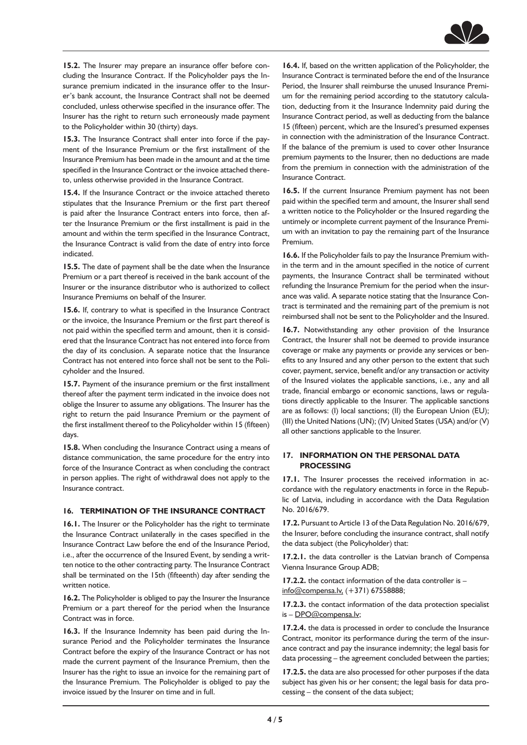

**15.2.** The Insurer may prepare an insurance offer before concluding the Insurance Contract. If the Policyholder pays the Insurance premium indicated in the insurance offer to the Insurer's bank account, the Insurance Contract shall not be deemed concluded, unless otherwise specified in the insurance offer. The Insurer has the right to return such erroneously made payment to the Policyholder within 30 (thirty) days.

**15.3.** The Insurance Contract shall enter into force if the payment of the Insurance Premium or the first installment of the Insurance Premium has been made in the amount and at the time specified in the Insurance Contract or the invoice attached thereto, unless otherwise provided in the Insurance Contract.

**15.4.** If the Insurance Contract or the invoice attached thereto stipulates that the Insurance Premium or the first part thereof is paid after the Insurance Contract enters into force, then after the Insurance Premium or the first installment is paid in the amount and within the term specified in the Insurance Contract, the Insurance Contract is valid from the date of entry into force indicated.

**15.5.** The date of payment shall be the date when the Insurance Premium or a part thereof is received in the bank account of the Insurer or the insurance distributor who is authorized to collect Insurance Premiums on behalf of the Insurer.

**15.6.** If, contrary to what is specified in the Insurance Contract or the invoice, the Insurance Premium or the first part thereof is not paid within the specified term and amount, then it is considered that the Insurance Contract has not entered into force from the day of its conclusion. A separate notice that the Insurance Contract has not entered into force shall not be sent to the Policyholder and the Insured.

**15.7.** Payment of the insurance premium or the first installment thereof after the payment term indicated in the invoice does not oblige the Insurer to assume any obligations. The Insurer has the right to return the paid Insurance Premium or the payment of the first installment thereof to the Policyholder within 15 (fifteen) days.

**15.8.** When concluding the Insurance Contract using a means of distance communication, the same procedure for the entry into force of the Insurance Contract as when concluding the contract in person applies. The right of withdrawal does not apply to the Insurance contract.

#### **16. TERMINATION OF THE INSURANCE CONTRACT**

**16.1.** The Insurer or the Policyholder has the right to terminate the Insurance Contract unilaterally in the cases specified in the Insurance Contract Law before the end of the Insurance Period, i.e., after the occurrence of the Insured Event, by sending a written notice to the other contracting party. The Insurance Contract shall be terminated on the 15th (fifteenth) day after sending the written notice.

16.2. The Policyholder is obliged to pay the Insurer the Insurance Premium or a part thereof for the period when the Insurance Contract was in force.

**16.3.** If the Insurance Indemnity has been paid during the Insurance Period and the Policyholder terminates the Insurance Contract before the expiry of the Insurance Contract or has not made the current payment of the Insurance Premium, then the Insurer has the right to issue an invoice for the remaining part of the Insurance Premium. The Policyholder is obliged to pay the invoice issued by the Insurer on time and in full.

**16.4.** If, based on the written application of the Policyholder, the Insurance Contract is terminated before the end of the Insurance Period, the Insurer shall reimburse the unused Insurance Premium for the remaining period according to the statutory calculation, deducting from it the Insurance Indemnity paid during the Insurance Contract period, as well as deducting from the balance 15 (fifteen) percent, which are the Insured's presumed expenses in connection with the administration of the Insurance Contract. If the balance of the premium is used to cover other Insurance premium payments to the Insurer, then no deductions are made from the premium in connection with the administration of the Insurance Contract.

**16.5.** If the current Insurance Premium payment has not been paid within the specified term and amount, the Insurer shall send a written notice to the Policyholder or the Insured regarding the untimely or incomplete current payment of the Insurance Premium with an invitation to pay the remaining part of the Insurance Premium.

**16.6.** If the Policyholder fails to pay the Insurance Premium within the term and in the amount specified in the notice of current payments, the Insurance Contract shall be terminated without refunding the Insurance Premium for the period when the insurance was valid. A separate notice stating that the Insurance Contract is terminated and the remaining part of the premium is not reimbursed shall not be sent to the Policyholder and the Insured.

**16.7.** Notwithstanding any other provision of the Insurance Contract, the Insurer shall not be deemed to provide insurance coverage or make any payments or provide any services or benefits to any Insured and any other person to the extent that such cover, payment, service, benefit and/or any transaction or activity of the Insured violates the applicable sanctions, i.e., any and all trade, financial embargo or economic sanctions, laws or regulations directly applicable to the Insurer. The applicable sanctions are as follows: (I) local sanctions; (II) the European Union (EU); (III) the United Nations (UN); (IV) United States (USA) and/or (V) all other sanctions applicable to the Insurer.

# **17. INFORMATION ON THE PERSONAL DATA PROCESSING**

**17.1.** The Insurer processes the received information in accordance with the regulatory enactments in force in the Republic of Latvia, including in accordance with the Data Regulation No. 2016/679.

**17.2.** Pursuant to Article 13 of the Data Regulation No. 2016/679, the Insurer, before concluding the insurance contract, shall notify the data subject (the Policyholder) that:

**17.2.1.** the data controller is the Latvian branch of Compensa Vienna Insurance Group ADB;

**17.2.2.** the contact information of the data controller is – [info@compensa.lv,](mailto:info@compensa.lv,) (+371) 67558888;

**17.2.3.** the contact information of the data protection specialist is – [DPO@compensa.lv;](mailto:DPO@compensa.lv)

**17.2.4.** the data is processed in order to conclude the Insurance Contract, monitor its performance during the term of the insurance contract and pay the insurance indemnity; the legal basis for data processing – the agreement concluded between the parties;

**17.2.5.** the data are also processed for other purposes if the data subject has given his or her consent; the legal basis for data processing – the consent of the data subject;